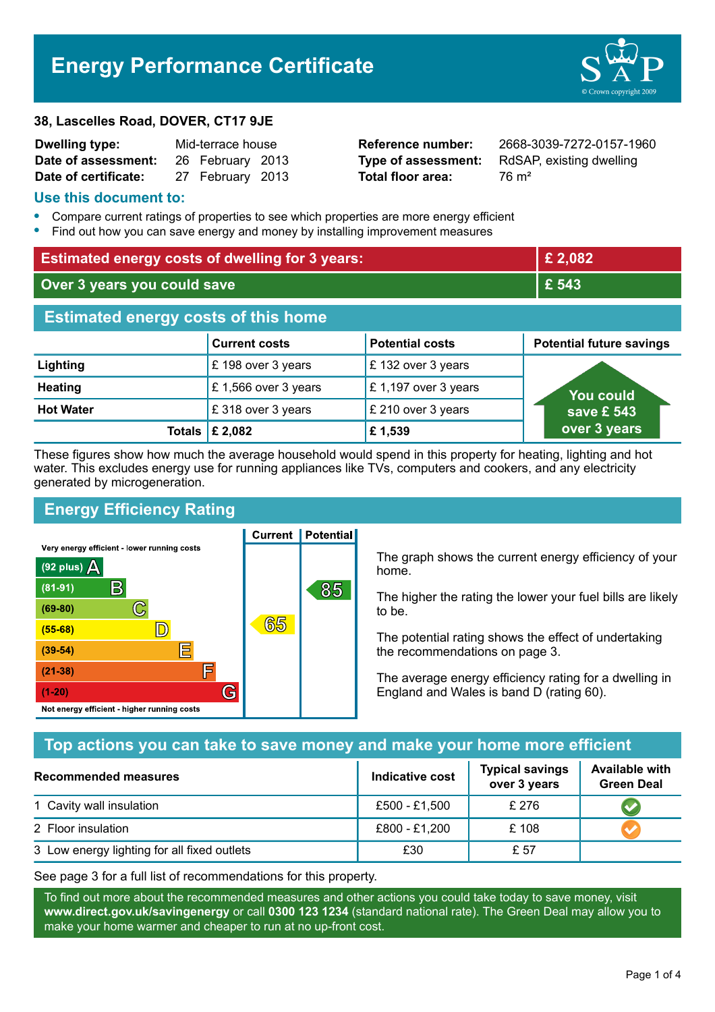# **Energy Performance Certificate**

#### **38, Lascelles Road, DOVER, CT17 9JE**

| <b>Dwelling type:</b> | Mid-terrace house |                  |  |
|-----------------------|-------------------|------------------|--|
| Date of assessment:   |                   | 26 February 2013 |  |
| Date of certificate:  |                   | 27 February 2013 |  |

**Total floor area:** 76 m<sup>2</sup>

**Reference number:** 2668-3039-7272-0157-1960 **Type of assessment:** RdSAP, existing dwelling

#### **Use this document to:**

- **•** Compare current ratings of properties to see which properties are more energy efficient
- **•** Find out how you can save energy and money by installing improvement measures

| <b>Estimated energy costs of dwelling for 3 years:</b> |                                 | £ 2,082                |                                 |  |
|--------------------------------------------------------|---------------------------------|------------------------|---------------------------------|--|
| Over 3 years you could save                            |                                 | £ 543                  |                                 |  |
| <b>Estimated energy costs of this home</b>             |                                 |                        |                                 |  |
|                                                        | <b>Current costs</b>            | <b>Potential costs</b> | <b>Potential future savings</b> |  |
| Lighting                                               | £198 over 3 years               | £132 over 3 years      |                                 |  |
| <b>Heating</b>                                         | £1,566 over 3 years             | £1,197 over 3 years    | <b>You could</b>                |  |
| <b>Hot Water</b>                                       | £318 over 3 years               | £ 210 over 3 years     | save £ 543                      |  |
|                                                        | Totals $\mathsf{\pounds}$ 2,082 | £1,539                 | over 3 years                    |  |

These figures show how much the average household would spend in this property for heating, lighting and hot water. This excludes energy use for running appliances like TVs, computers and cookers, and any electricity generated by microgeneration.

**Current | Potential** 

# **Energy Efficiency Rating**

Very energy efficient - lower running costs



The graph shows the current energy efficiency of your home.

The higher the rating the lower your fuel bills are likely to be.

The potential rating shows the effect of undertaking the recommendations on page 3.

The average energy efficiency rating for a dwelling in England and Wales is band D (rating 60).

## **Top actions you can take to save money and make your home more efficient**

| Recommended measures                        | Indicative cost | <b>Typical savings</b><br>over 3 years | <b>Available with</b><br><b>Green Deal</b> |
|---------------------------------------------|-----------------|----------------------------------------|--------------------------------------------|
| 1 Cavity wall insulation                    | £500 - £1,500   | £276                                   |                                            |
| 2 Floor insulation                          | £800 - £1,200   | £108                                   |                                            |
| 3 Low energy lighting for all fixed outlets | £30             | £ 57                                   |                                            |

See page 3 for a full list of recommendations for this property.

To find out more about the recommended measures and other actions you could take today to save money, visit **www.direct.gov.uk/savingenergy** or call **0300 123 1234** (standard national rate). The Green Deal may allow you to make your home warmer and cheaper to run at no up-front cost.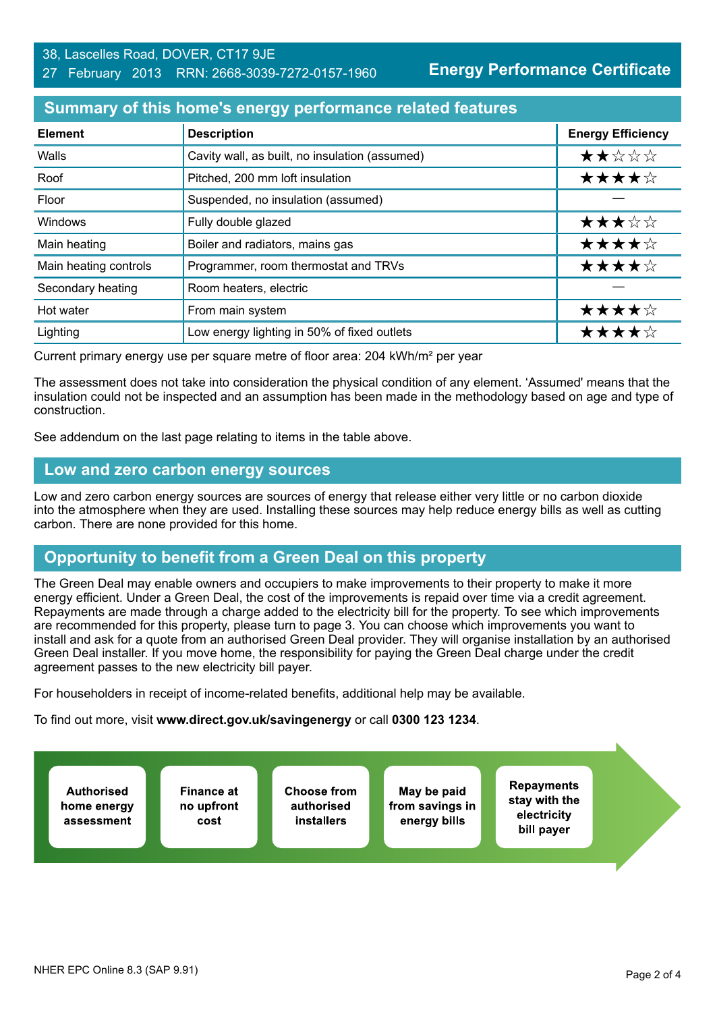#### **Summary of this home's energy performance related features**

| <b>Element</b>        | <b>Description</b>                             | <b>Energy Efficiency</b> |
|-----------------------|------------------------------------------------|--------------------------|
| Walls                 | Cavity wall, as built, no insulation (assumed) | ★★☆☆☆                    |
| Roof                  | Pitched, 200 mm loft insulation                | ★★★★☆                    |
| Floor                 | Suspended, no insulation (assumed)             |                          |
| <b>Windows</b>        | Fully double glazed                            | ★★★☆☆                    |
| Main heating          | Boiler and radiators, mains gas                | ★★★★☆                    |
| Main heating controls | Programmer, room thermostat and TRVs           | ★★★★☆                    |
| Secondary heating     | Room heaters, electric                         |                          |
| Hot water             | From main system                               | ★★★★☆                    |
| Lighting              | Low energy lighting in 50% of fixed outlets    | ★★★★☆                    |

Current primary energy use per square metre of floor area: 204 kWh/m² per year

The assessment does not take into consideration the physical condition of any element. 'Assumed' means that the insulation could not be inspected and an assumption has been made in the methodology based on age and type of construction.

See addendum on the last page relating to items in the table above.

#### **Low and zero carbon energy sources**

Low and zero carbon energy sources are sources of energy that release either very little or no carbon dioxide into the atmosphere when they are used. Installing these sources may help reduce energy bills as well as cutting carbon. There are none provided for this home.

## **Opportunity to benefit from a Green Deal on this property**

The Green Deal may enable owners and occupiers to make improvements to their property to make it more energy efficient. Under a Green Deal, the cost of the improvements is repaid over time via a credit agreement. Repayments are made through a charge added to the electricity bill for the property. To see which improvements are recommended for this property, please turn to page 3. You can choose which improvements you want to install and ask for a quote from an authorised Green Deal provider. They will organise installation by an authorised Green Deal installer. If you move home, the responsibility for paying the Green Deal charge under the credit agreement passes to the new electricity bill payer.

For householders in receipt of income-related benefits, additional help may be available.

To find out more, visit **www.direct.gov.uk/savingenergy** or call **0300 123 1234**.

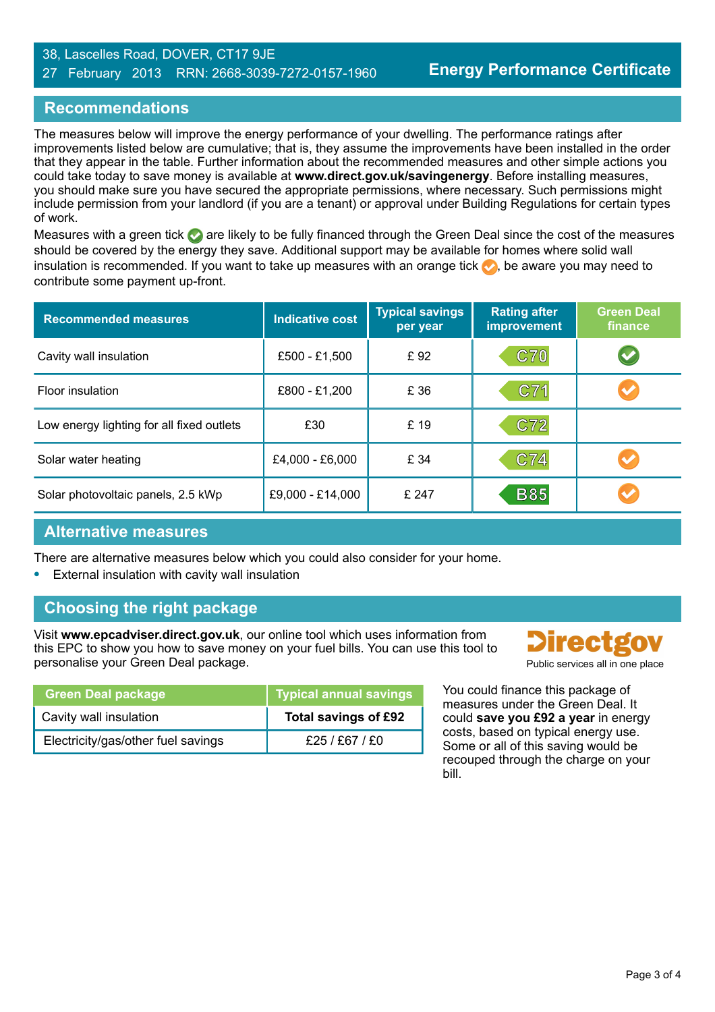#### 38, Lascelles Road, DOVER, CT17 9JE 27 February 2013 RRN: 2668-3039-7272-0157-1960

## **Recommendations**

The measures below will improve the energy performance of your dwelling. The performance ratings after improvements listed below are cumulative; that is, they assume the improvements have been installed in the order that they appear in the table. Further information about the recommended measures and other simple actions you could take today to save money is available at **www.direct.gov.uk/savingenergy**. Before installing measures, you should make sure you have secured the appropriate permissions, where necessary. Such permissions might include permission from your landlord (if you are a tenant) or approval under Building Regulations for certain types of work.

Measures with a green tick  $\bullet$  are likely to be fully financed through the Green Deal since the cost of the measures should be covered by the energy they save. Additional support may be available for homes where solid wall insulation is recommended. If you want to take up measures with an orange tick  $\bullet$ , be aware you may need to contribute some payment up-front.

| <b>Recommended measures</b>               | <b>Indicative cost</b> | <b>Typical savings</b><br>per year | <b>Rating after</b><br>improvement | <b>Green Deal</b><br>finance |
|-------------------------------------------|------------------------|------------------------------------|------------------------------------|------------------------------|
| Cavity wall insulation                    | £500 - £1,500          | £92                                | <b>C70</b>                         | $\blacktriangledown$         |
| Floor insulation                          | £800 - £1,200          | £ 36                               | C71                                |                              |
| Low energy lighting for all fixed outlets | £30                    | £ 19                               | C72                                |                              |
| Solar water heating                       | £4,000 - £6,000        | £ 34                               | C74                                |                              |
| Solar photovoltaic panels, 2.5 kWp        | £9,000 - £14,000       | £ 247                              | <b>B85</b>                         |                              |

#### **Alternative measures**

There are alternative measures below which you could also consider for your home.

**•** External insulation with cavity wall insulation

# **Choosing the right package**

Visit **www.epcadviser.direct.gov.uk**, our online tool which uses information from this EPC to show you how to save money on your fuel bills. You can use this tool to personalise your Green Deal package. **Public services all in one place** provided by Public services all in one place

| <b>Green Deal package</b>          | Typical annual savings |
|------------------------------------|------------------------|
| Cavity wall insulation             | Total savings of £92   |
| Electricity/gas/other fuel savings | £25/£67/£0             |

**Directgo** 

You could finance this package of measures under the Green Deal. It could **save you £92 a year** in energy costs, based on typical energy use. Some or all of this saving would be recouped through the charge on your bill.